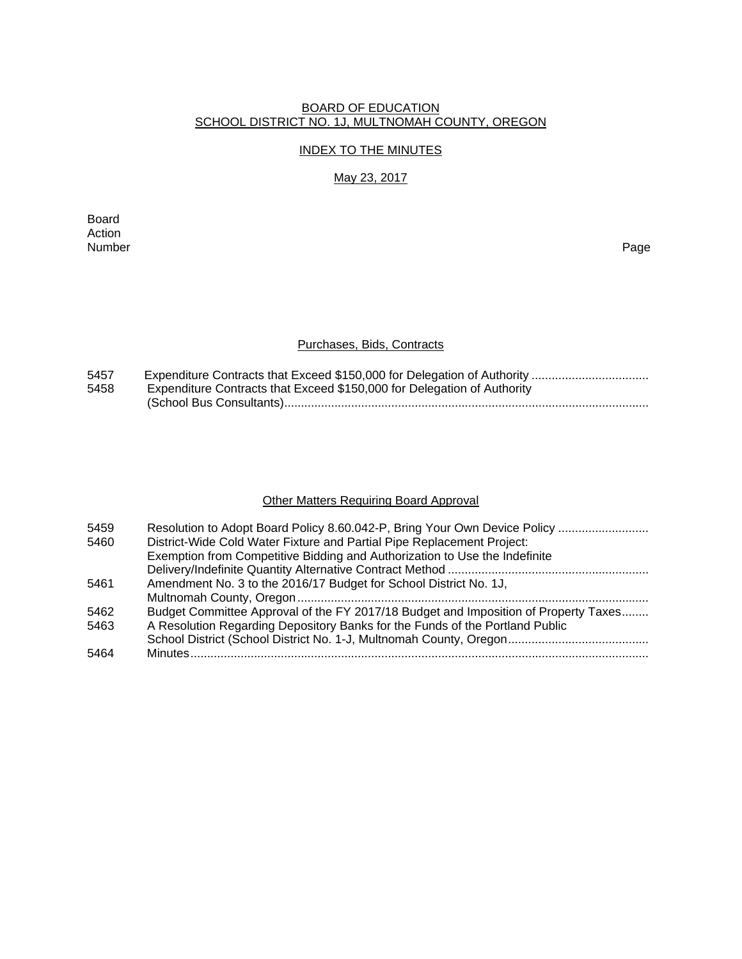#### BOARD OF EDUCATION SCHOOL DISTRICT NO. 1J, MULTNOMAH COUNTY, OREGON

#### INDEX TO THE MINUTES

# May 23, 2017

Board Action<br>Number Number Page

#### Purchases, Bids, Contracts

| 5457 |                                                                         |
|------|-------------------------------------------------------------------------|
| 5458 | Expenditure Contracts that Exceed \$150,000 for Delegation of Authority |
|      |                                                                         |

# **Other Matters Requiring Board Approval**

| 5459 | Resolution to Adopt Board Policy 8.60.042-P, Bring Your Own Device Policy           |
|------|-------------------------------------------------------------------------------------|
| 5460 | District-Wide Cold Water Fixture and Partial Pipe Replacement Project:              |
|      | Exemption from Competitive Bidding and Authorization to Use the Indefinite          |
|      |                                                                                     |
| 5461 | Amendment No. 3 to the 2016/17 Budget for School District No. 1J,                   |
|      |                                                                                     |
| 5462 | Budget Committee Approval of the FY 2017/18 Budget and Imposition of Property Taxes |
| 5463 | A Resolution Regarding Depository Banks for the Funds of the Portland Public        |
|      |                                                                                     |
| 5464 |                                                                                     |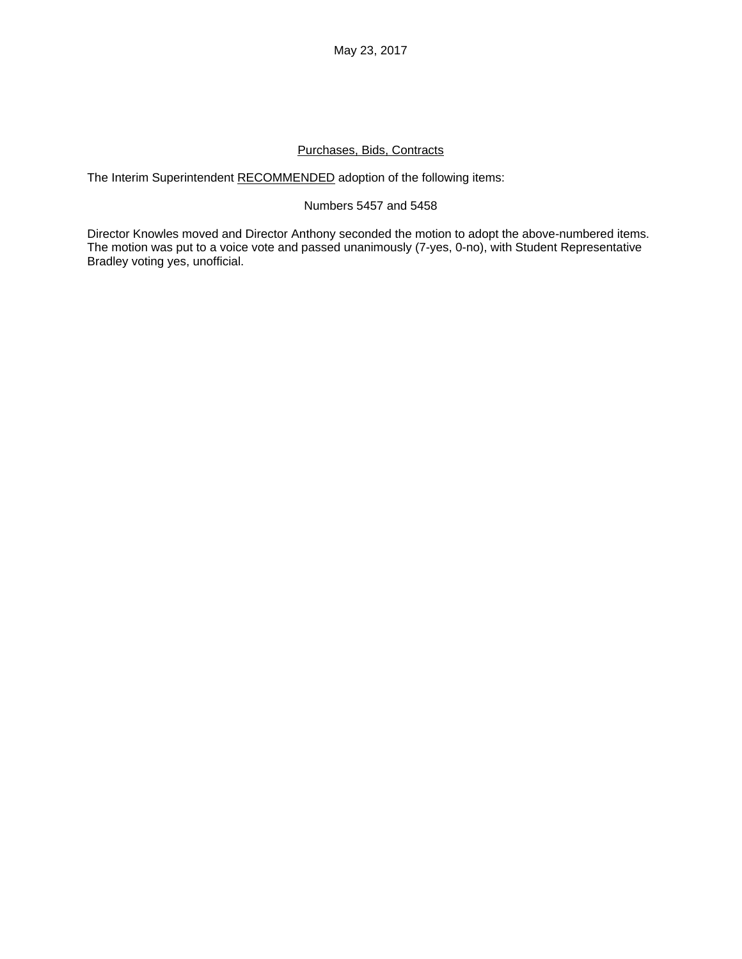May 23, 2017

#### Purchases, Bids, Contracts

The Interim Superintendent RECOMMENDED adoption of the following items:

#### Numbers 5457 and 5458

Director Knowles moved and Director Anthony seconded the motion to adopt the above-numbered items. The motion was put to a voice vote and passed unanimously (7-yes, 0-no), with Student Representative Bradley voting yes, unofficial.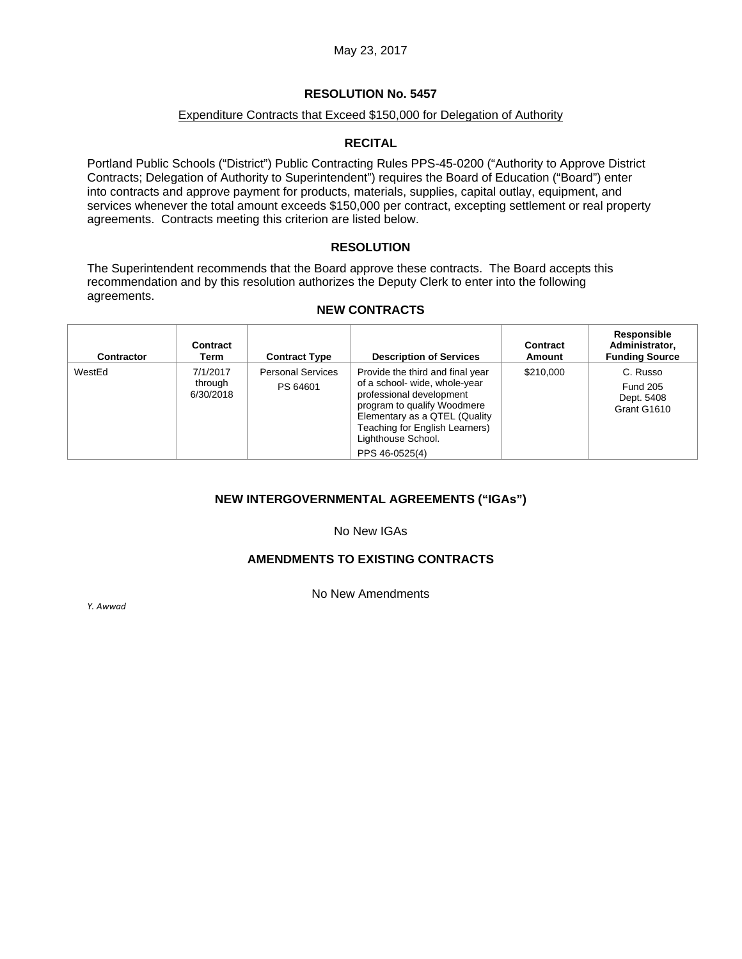#### Expenditure Contracts that Exceed \$150,000 for Delegation of Authority

#### **RECITAL**

Portland Public Schools ("District") Public Contracting Rules PPS-45-0200 ("Authority to Approve District Contracts; Delegation of Authority to Superintendent") requires the Board of Education ("Board") enter into contracts and approve payment for products, materials, supplies, capital outlay, equipment, and services whenever the total amount exceeds \$150,000 per contract, excepting settlement or real property agreements. Contracts meeting this criterion are listed below.

#### **RESOLUTION**

The Superintendent recommends that the Board approve these contracts. The Board accepts this recommendation and by this resolution authorizes the Deputy Clerk to enter into the following agreements.

#### **NEW CONTRACTS**

| <b>Contractor</b> | Contract<br>Term                 | <b>Contract Type</b>                 | <b>Description of Services</b>                                                                                                                                                                                                          | Contract<br>Amount | <b>Responsible</b><br>Administrator,<br><b>Funding Source</b> |
|-------------------|----------------------------------|--------------------------------------|-----------------------------------------------------------------------------------------------------------------------------------------------------------------------------------------------------------------------------------------|--------------------|---------------------------------------------------------------|
| WestEd            | 7/1/2017<br>through<br>6/30/2018 | <b>Personal Services</b><br>PS 64601 | Provide the third and final year<br>of a school- wide, whole-year<br>professional development<br>program to qualify Woodmere<br>Elementary as a QTEL (Quality<br>Teaching for English Learners)<br>Lighthouse School.<br>PPS 46-0525(4) | \$210,000          | C. Russo<br><b>Fund 205</b><br>Dept. 5408<br>Grant G1610      |

# **NEW INTERGOVERNMENTAL AGREEMENTS ("IGAs")**

No New IGAs

#### **AMENDMENTS TO EXISTING CONTRACTS**

No New Amendments

*Y. Awwad*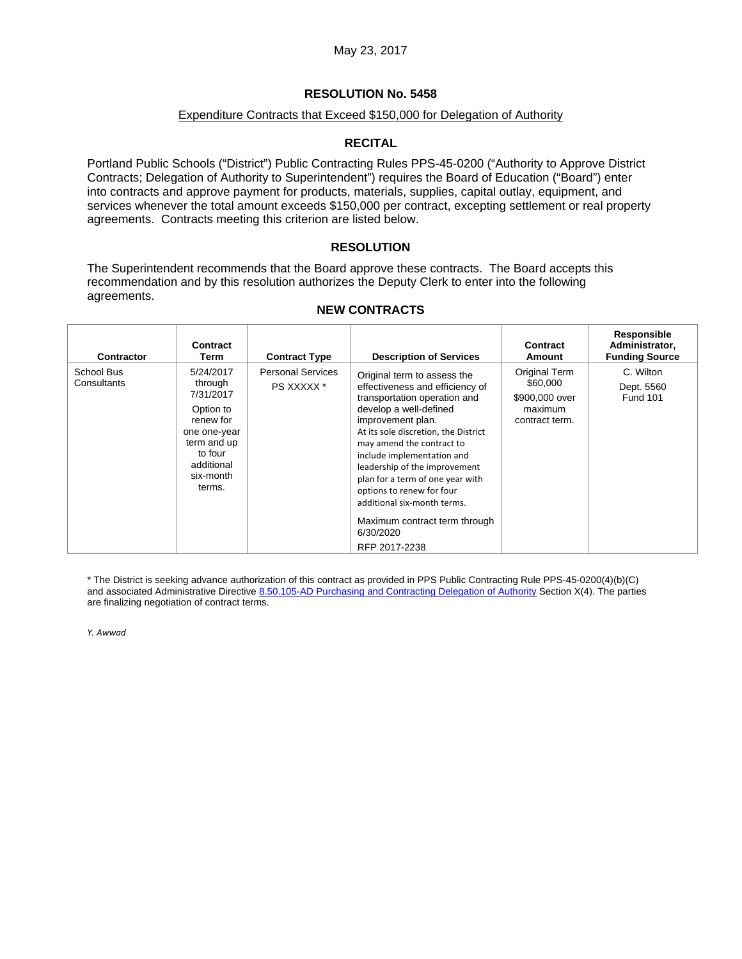#### Expenditure Contracts that Exceed \$150,000 for Delegation of Authority

#### **RECITAL**

Portland Public Schools ("District") Public Contracting Rules PPS-45-0200 ("Authority to Approve District Contracts; Delegation of Authority to Superintendent") requires the Board of Education ("Board") enter into contracts and approve payment for products, materials, supplies, capital outlay, equipment, and services whenever the total amount exceeds \$150,000 per contract, excepting settlement or real property agreements. Contracts meeting this criterion are listed below.

#### **RESOLUTION**

The Superintendent recommends that the Board approve these contracts. The Board accepts this recommendation and by this resolution authorizes the Deputy Clerk to enter into the following agreements.

# **NEW CONTRACTS**

| <b>Contractor</b>         | Contract<br>Term                                                                                                                           | <b>Contract Type</b>                   | <b>Description of Services</b>                                                                                                                                                                                                                                                                                                                                                                                                                   | Contract<br>Amount                                                       | Responsible<br>Administrator,<br><b>Funding Source</b> |
|---------------------------|--------------------------------------------------------------------------------------------------------------------------------------------|----------------------------------------|--------------------------------------------------------------------------------------------------------------------------------------------------------------------------------------------------------------------------------------------------------------------------------------------------------------------------------------------------------------------------------------------------------------------------------------------------|--------------------------------------------------------------------------|--------------------------------------------------------|
| School Bus<br>Consultants | 5/24/2017<br>through<br>7/31/2017<br>Option to<br>renew for<br>one one-year<br>term and up<br>to four<br>additional<br>six-month<br>terms. | <b>Personal Services</b><br>PS XXXXX * | Original term to assess the<br>effectiveness and efficiency of<br>transportation operation and<br>develop a well-defined<br>improvement plan.<br>At its sole discretion, the District<br>may amend the contract to<br>include implementation and<br>leadership of the improvement<br>plan for a term of one year with<br>options to renew for four<br>additional six-month terms.<br>Maximum contract term through<br>6/30/2020<br>RFP 2017-2238 | Original Term<br>\$60,000<br>\$900,000 over<br>maximum<br>contract term. | C. Wilton<br>Dept. 5560<br><b>Fund 101</b>             |

\* The District is seeking advance authorization of this contract as provided in PPS Public Contracting Rule PPS-45-0200(4)(b)(C) and associated Administrative Directive 8.50.105-AD Purchasing and Contracting Delegation of Authority Section X(4). The parties are finalizing negotiation of contract terms.

*Y. Awwad*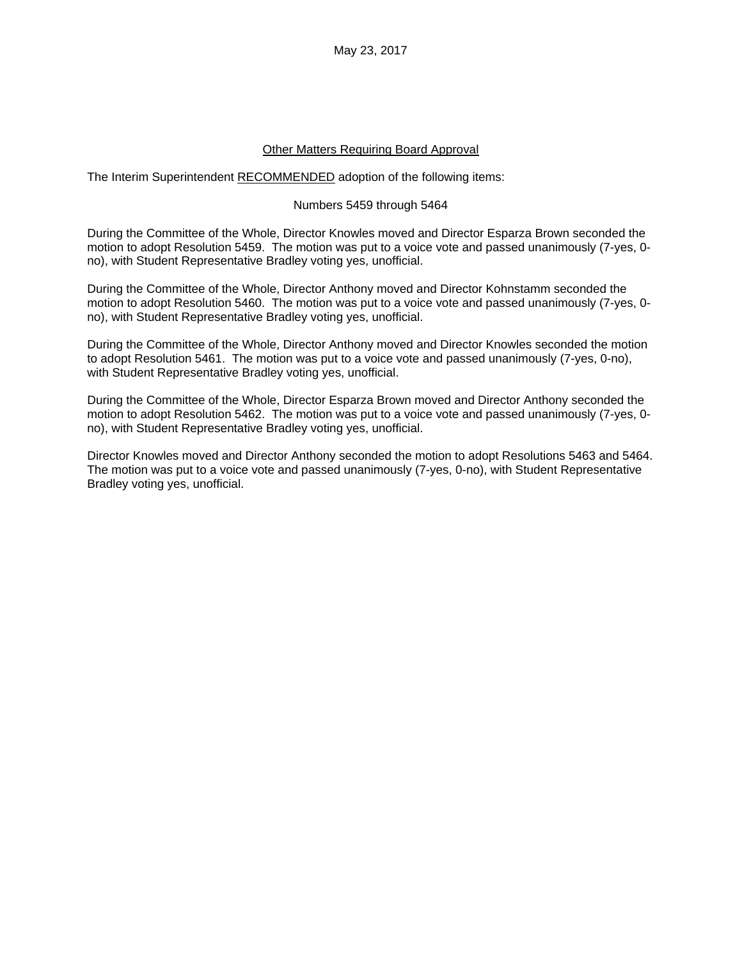May 23, 2017

#### Other Matters Requiring Board Approval

The Interim Superintendent RECOMMENDED adoption of the following items:

#### Numbers 5459 through 5464

During the Committee of the Whole, Director Knowles moved and Director Esparza Brown seconded the motion to adopt Resolution 5459. The motion was put to a voice vote and passed unanimously (7-yes, 0 no), with Student Representative Bradley voting yes, unofficial.

During the Committee of the Whole, Director Anthony moved and Director Kohnstamm seconded the motion to adopt Resolution 5460. The motion was put to a voice vote and passed unanimously (7-yes, 0 no), with Student Representative Bradley voting yes, unofficial.

During the Committee of the Whole, Director Anthony moved and Director Knowles seconded the motion to adopt Resolution 5461. The motion was put to a voice vote and passed unanimously (7-yes, 0-no), with Student Representative Bradley voting yes, unofficial.

During the Committee of the Whole, Director Esparza Brown moved and Director Anthony seconded the motion to adopt Resolution 5462. The motion was put to a voice vote and passed unanimously (7-yes, 0 no), with Student Representative Bradley voting yes, unofficial.

Director Knowles moved and Director Anthony seconded the motion to adopt Resolutions 5463 and 5464. The motion was put to a voice vote and passed unanimously (7-yes, 0-no), with Student Representative Bradley voting yes, unofficial.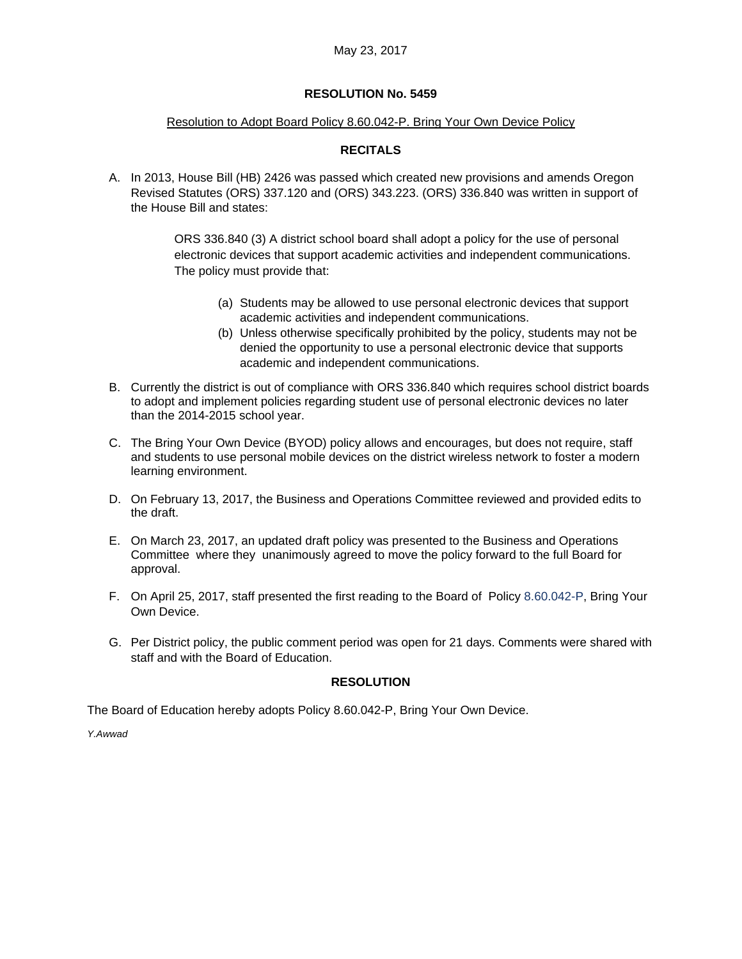#### Resolution to Adopt Board Policy 8.60.042-P. Bring Your Own Device Policy

## **RECITALS**

A. In 2013, House Bill (HB) 2426 was passed which created new provisions and amends Oregon Revised Statutes (ORS) 337.120 and (ORS) 343.223. (ORS) 336.840 was written in support of the House Bill and states:

> ORS 336.840 (3) A district school board shall adopt a policy for the use of personal electronic devices that support academic activities and independent communications. The policy must provide that:

- (a) Students may be allowed to use personal electronic devices that support academic activities and independent communications.
- (b) Unless otherwise specifically prohibited by the policy, students may not be denied the opportunity to use a personal electronic device that supports academic and independent communications.
- B. Currently the district is out of compliance with ORS 336.840 which requires school district boards to adopt and implement policies regarding student use of personal electronic devices no later than the 2014-2015 school year.
- C. The Bring Your Own Device (BYOD) policy allows and encourages, but does not require, staff and students to use personal mobile devices on the district wireless network to foster a modern learning environment.
- D. On February 13, 2017, the Business and Operations Committee reviewed and provided edits to the draft.
- E. On March 23, 2017, an updated draft policy was presented to the Business and Operations Committee where they unanimously agreed to move the policy forward to the full Board for approval.
- F. On April 25, 2017, staff presented the first reading to the Board of Policy 8.60.042-P, Bring Your Own Device.
- G. Per District policy, the public comment period was open for 21 days. Comments were shared with staff and with the Board of Education.

#### **RESOLUTION**

The Board of Education hereby adopts Policy 8.60.042-P, Bring Your Own Device.

*Y.Awwad*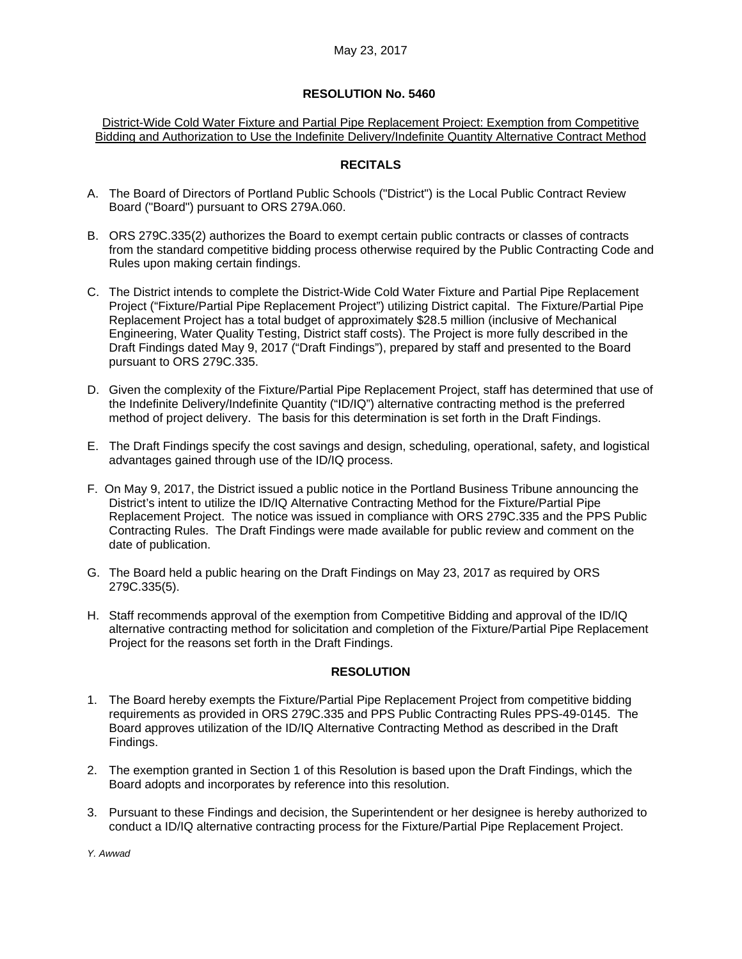District-Wide Cold Water Fixture and Partial Pipe Replacement Project: Exemption from Competitive Bidding and Authorization to Use the Indefinite Delivery/Indefinite Quantity Alternative Contract Method

#### **RECITALS**

- A. The Board of Directors of Portland Public Schools ("District") is the Local Public Contract Review Board ("Board") pursuant to ORS 279A.060.
- B. ORS 279C.335(2) authorizes the Board to exempt certain public contracts or classes of contracts from the standard competitive bidding process otherwise required by the Public Contracting Code and Rules upon making certain findings.
- C. The District intends to complete the District-Wide Cold Water Fixture and Partial Pipe Replacement Project ("Fixture/Partial Pipe Replacement Project") utilizing District capital. The Fixture/Partial Pipe Replacement Project has a total budget of approximately \$28.5 million (inclusive of Mechanical Engineering, Water Quality Testing, District staff costs). The Project is more fully described in the Draft Findings dated May 9, 2017 ("Draft Findings"), prepared by staff and presented to the Board pursuant to ORS 279C.335.
- D. Given the complexity of the Fixture/Partial Pipe Replacement Project, staff has determined that use of the Indefinite Delivery/Indefinite Quantity ("ID/IQ") alternative contracting method is the preferred method of project delivery. The basis for this determination is set forth in the Draft Findings.
- E. The Draft Findings specify the cost savings and design, scheduling, operational, safety, and logistical advantages gained through use of the ID/IQ process.
- F. On May 9, 2017, the District issued a public notice in the Portland Business Tribune announcing the District's intent to utilize the ID/IQ Alternative Contracting Method for the Fixture/Partial Pipe Replacement Project. The notice was issued in compliance with ORS 279C.335 and the PPS Public Contracting Rules. The Draft Findings were made available for public review and comment on the date of publication.
- G. The Board held a public hearing on the Draft Findings on May 23, 2017 as required by ORS 279C.335(5).
- H. Staff recommends approval of the exemption from Competitive Bidding and approval of the ID/IQ alternative contracting method for solicitation and completion of the Fixture/Partial Pipe Replacement Project for the reasons set forth in the Draft Findings.

#### **RESOLUTION**

- 1. The Board hereby exempts the Fixture/Partial Pipe Replacement Project from competitive bidding requirements as provided in ORS 279C.335 and PPS Public Contracting Rules PPS-49-0145. The Board approves utilization of the ID/IQ Alternative Contracting Method as described in the Draft Findings.
- 2. The exemption granted in Section 1 of this Resolution is based upon the Draft Findings, which the Board adopts and incorporates by reference into this resolution.
- 3. Pursuant to these Findings and decision, the Superintendent or her designee is hereby authorized to conduct a ID/IQ alternative contracting process for the Fixture/Partial Pipe Replacement Project.

*Y. Awwad*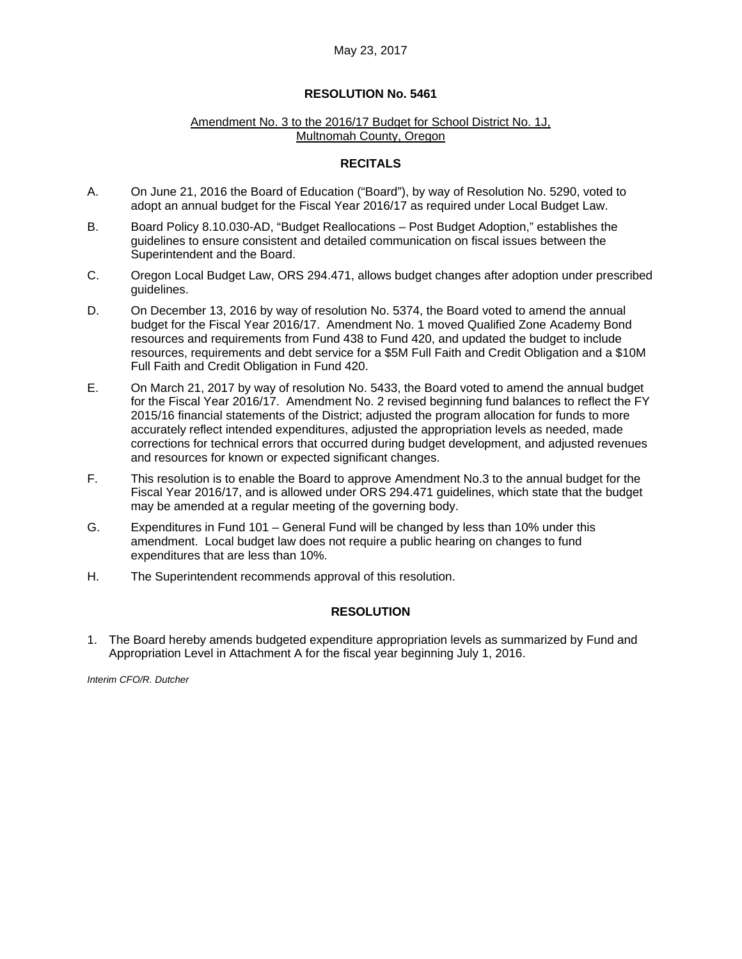#### Amendment No. 3 to the 2016/17 Budget for School District No. 1J, Multnomah County, Oregon

#### **RECITALS**

- A. On June 21, 2016 the Board of Education ("Board"), by way of Resolution No. 5290, voted to adopt an annual budget for the Fiscal Year 2016/17 as required under Local Budget Law.
- B. Board Policy 8.10.030-AD, "Budget Reallocations Post Budget Adoption," establishes the guidelines to ensure consistent and detailed communication on fiscal issues between the Superintendent and the Board.
- C. Oregon Local Budget Law, ORS 294.471, allows budget changes after adoption under prescribed guidelines.
- D. On December 13, 2016 by way of resolution No. 5374, the Board voted to amend the annual budget for the Fiscal Year 2016/17. Amendment No. 1 moved Qualified Zone Academy Bond resources and requirements from Fund 438 to Fund 420, and updated the budget to include resources, requirements and debt service for a \$5M Full Faith and Credit Obligation and a \$10M Full Faith and Credit Obligation in Fund 420.
- E. On March 21, 2017 by way of resolution No. 5433, the Board voted to amend the annual budget for the Fiscal Year 2016/17. Amendment No. 2 revised beginning fund balances to reflect the FY 2015/16 financial statements of the District; adjusted the program allocation for funds to more accurately reflect intended expenditures, adjusted the appropriation levels as needed, made corrections for technical errors that occurred during budget development, and adjusted revenues and resources for known or expected significant changes.
- F. This resolution is to enable the Board to approve Amendment No.3 to the annual budget for the Fiscal Year 2016/17, and is allowed under ORS 294.471 guidelines, which state that the budget may be amended at a regular meeting of the governing body.
- G. Expenditures in Fund 101 General Fund will be changed by less than 10% under this amendment. Local budget law does not require a public hearing on changes to fund expenditures that are less than 10%.
- H. The Superintendent recommends approval of this resolution.

#### **RESOLUTION**

1. The Board hereby amends budgeted expenditure appropriation levels as summarized by Fund and Appropriation Level in Attachment A for the fiscal year beginning July 1, 2016.

*Interim CFO/R. Dutcher*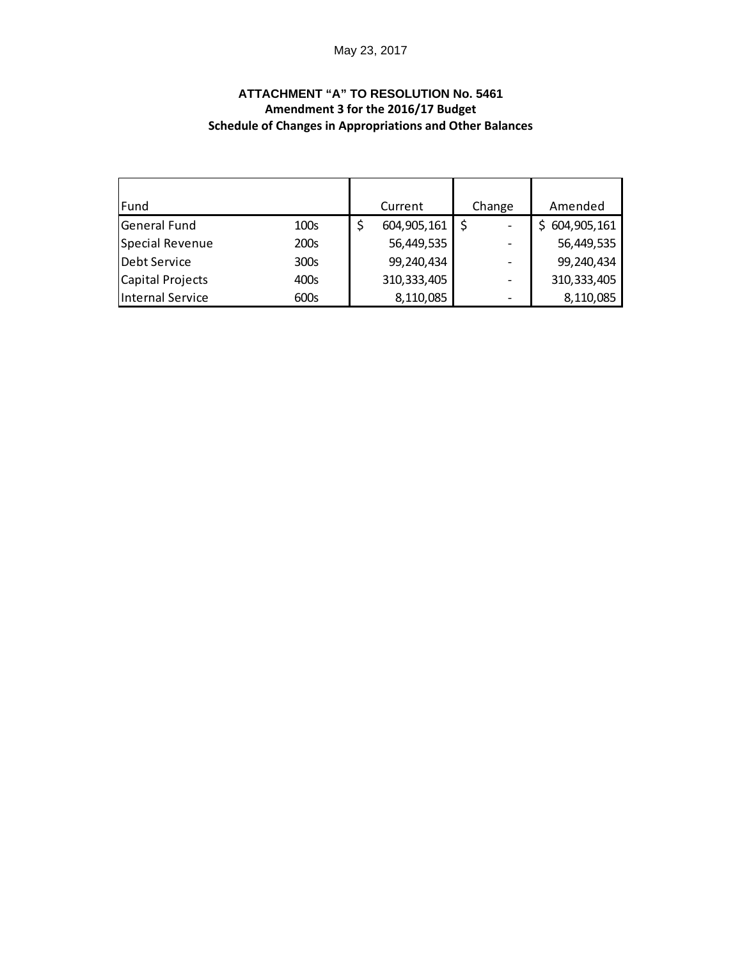# May 23, 2017

# **ATTACHMENT "A" TO RESOLUTION No. 5461 Amendment 3 for the 2016/17 Budget Schedule of Changes in Appropriations and Other Balances**

| Fund             |      | Current       | Change | Amended       |
|------------------|------|---------------|--------|---------------|
| General Fund     | 100s | 604,905,161   |        | 604,905,161   |
| Special Revenue  | 200s | 56,449,535    |        | 56,449,535    |
| Debt Service     | 300s | 99,240,434    |        | 99,240,434    |
| Capital Projects | 400s | 310, 333, 405 |        | 310, 333, 405 |
| Internal Service | 600s | 8,110,085     |        | 8,110,085     |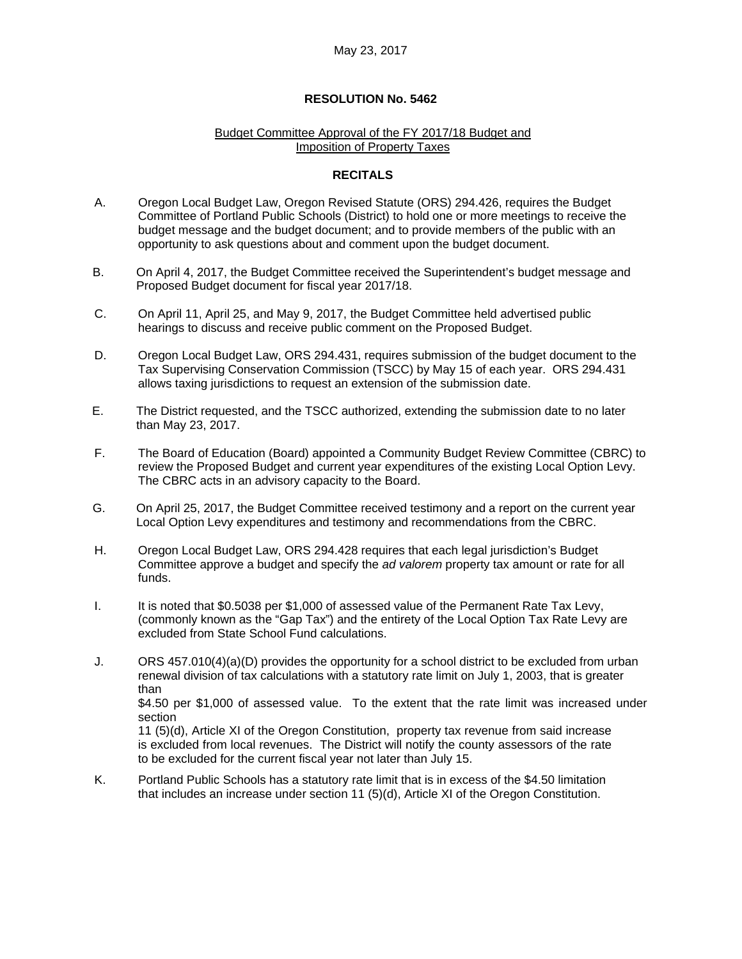#### Budget Committee Approval of the FY 2017/18 Budget and Imposition of Property Taxes

#### **RECITALS**

- A. Oregon Local Budget Law, Oregon Revised Statute (ORS) 294.426, requires the Budget Committee of Portland Public Schools (District) to hold one or more meetings to receive the budget message and the budget document; and to provide members of the public with an opportunity to ask questions about and comment upon the budget document.
- B. On April 4, 2017, the Budget Committee received the Superintendent's budget message and Proposed Budget document for fiscal year 2017/18.
- C. On April 11, April 25, and May 9, 2017, the Budget Committee held advertised public hearings to discuss and receive public comment on the Proposed Budget.
- D. Oregon Local Budget Law, ORS 294.431, requires submission of the budget document to the Tax Supervising Conservation Commission (TSCC) by May 15 of each year. ORS 294.431 allows taxing jurisdictions to request an extension of the submission date.
- E. The District requested, and the TSCC authorized, extending the submission date to no later than May 23, 2017.
- F. The Board of Education (Board) appointed a Community Budget Review Committee (CBRC) to review the Proposed Budget and current year expenditures of the existing Local Option Levy. The CBRC acts in an advisory capacity to the Board.
- G. On April 25, 2017, the Budget Committee received testimony and a report on the current year Local Option Levy expenditures and testimony and recommendations from the CBRC.
- H. Oregon Local Budget Law, ORS 294.428 requires that each legal jurisdiction's Budget Committee approve a budget and specify the *ad valorem* property tax amount or rate for all funds.
- I. It is noted that \$0.5038 per \$1,000 of assessed value of the Permanent Rate Tax Levy, (commonly known as the "Gap Tax") and the entirety of the Local Option Tax Rate Levy are excluded from State School Fund calculations.
- J. ORS 457.010(4)(a)(D) provides the opportunity for a school district to be excluded from urban renewal division of tax calculations with a statutory rate limit on July 1, 2003, that is greater than \$4.50 per \$1,000 of assessed value. To the extent that the rate limit was increased under section

11 (5)(d), Article XI of the Oregon Constitution, property tax revenue from said increase is excluded from local revenues. The District will notify the county assessors of the rate to be excluded for the current fiscal year not later than July 15.

K. Portland Public Schools has a statutory rate limit that is in excess of the \$4.50 limitation that includes an increase under section 11 (5)(d), Article XI of the Oregon Constitution.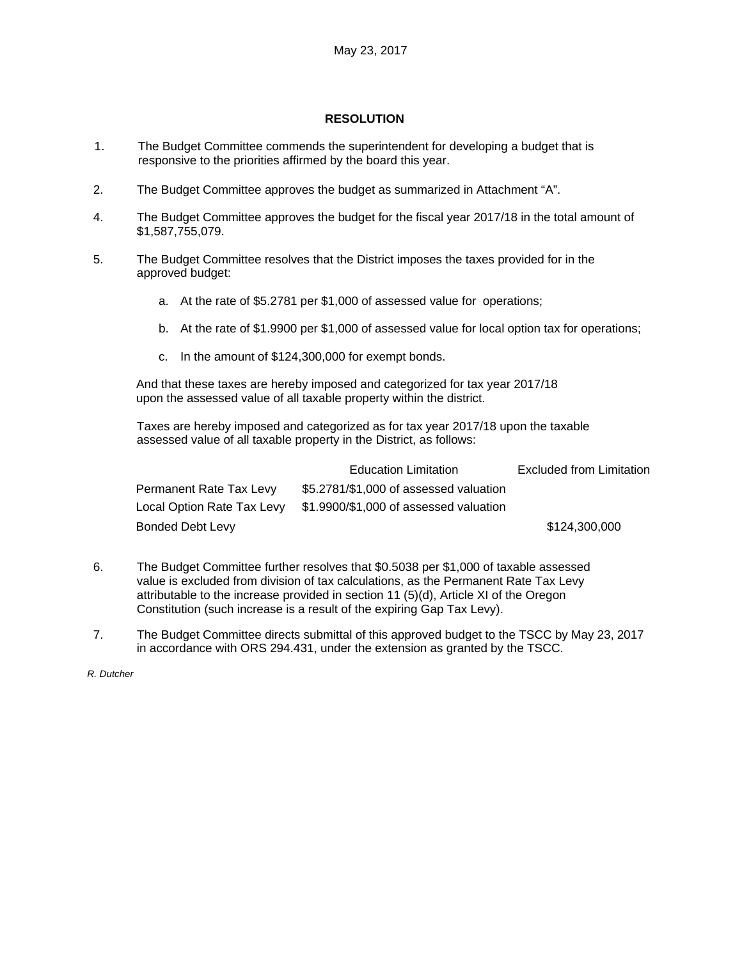#### **RESOLUTION**

- 1. The Budget Committee commends the superintendent for developing a budget that is responsive to the priorities affirmed by the board this year.
- 2. The Budget Committee approves the budget as summarized in Attachment "A".
- 4. The Budget Committee approves the budget for the fiscal year 2017/18 in the total amount of \$1,587,755,079.
- 5. The Budget Committee resolves that the District imposes the taxes provided for in the approved budget:
	- a. At the rate of \$5.2781 per \$1,000 of assessed value for operations;
	- b. At the rate of \$1.9900 per \$1,000 of assessed value for local option tax for operations;
	- c. In the amount of \$124,300,000 for exempt bonds.

And that these taxes are hereby imposed and categorized for tax year 2017/18 upon the assessed value of all taxable property within the district.

Taxes are hereby imposed and categorized as for tax year 2017/18 upon the taxable assessed value of all taxable property in the District, as follows:

|                         | <b>Education Limitation</b>                                       | Excluded from Limitation |
|-------------------------|-------------------------------------------------------------------|--------------------------|
| Permanent Rate Tax Levy | \$5.2781/\$1,000 of assessed valuation                            |                          |
|                         | Local Option Rate Tax Levy \$1.9900/\$1,000 of assessed valuation |                          |
| Bonded Debt Levy        |                                                                   | \$124,300,000            |

- 6. The Budget Committee further resolves that \$0.5038 per \$1,000 of taxable assessed value is excluded from division of tax calculations, as the Permanent Rate Tax Levy attributable to the increase provided in section 11 (5)(d), Article XI of the Oregon Constitution (such increase is a result of the expiring Gap Tax Levy).
- 7. The Budget Committee directs submittal of this approved budget to the TSCC by May 23, 2017 in accordance with ORS 294.431, under the extension as granted by the TSCC.

*R. Dutcher*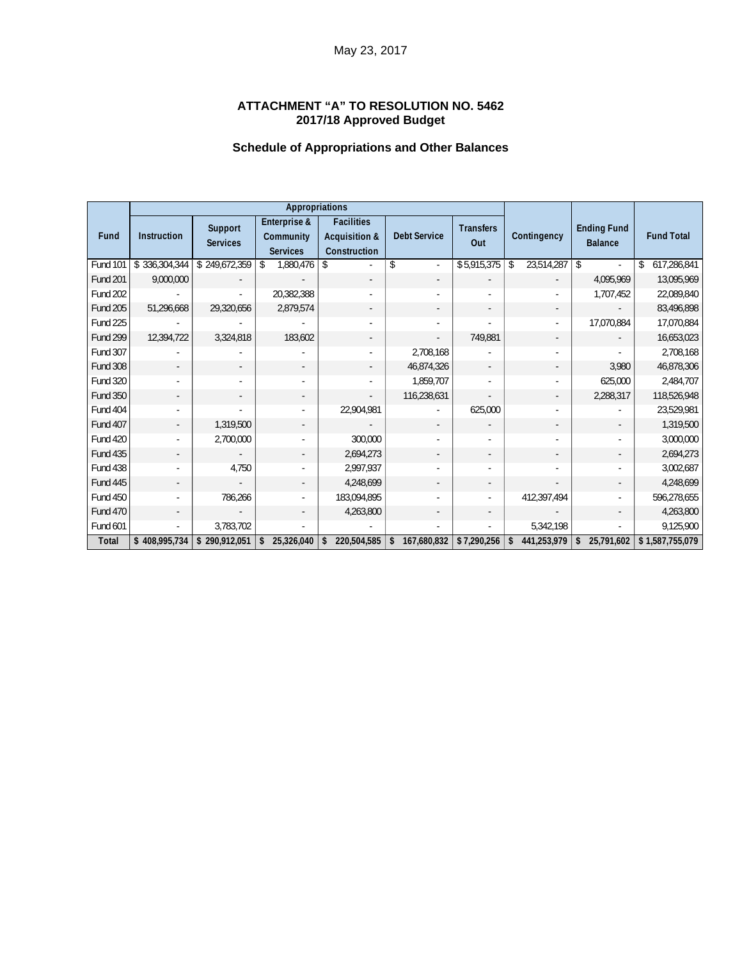# **ATTACHMENT "A" TO RESOLUTION NO. 5462 2017/18 Approved Budget**

# **Schedule of Appropriations and Other Balances**

|                 | <b>Appropriations</b> |                            |                                              |                                                               |                     |                         |                             |                                      |                   |
|-----------------|-----------------------|----------------------------|----------------------------------------------|---------------------------------------------------------------|---------------------|-------------------------|-----------------------------|--------------------------------------|-------------------|
| Fund            | Instruction           | Support<br><b>Services</b> | Enterprise &<br>Community<br><b>Services</b> | <b>Facilities</b><br><b>Acquisition &amp;</b><br>Construction | <b>Debt Service</b> | <b>Transfers</b><br>Out | Contingency                 | <b>Ending Fund</b><br><b>Balance</b> | <b>Fund Total</b> |
| <b>Fund 101</b> | \$336,304,344         | \$249,672,359              | $\mathsf{\$}$<br>1,880,476                   |                                                               | \$                  | \$5,915,375             | 23,514,287<br>$\mathsf{\$}$ | $\vert$ \$                           | 617,286,841<br>\$ |
| <b>Fund 201</b> | 9,000,000             |                            |                                              |                                                               |                     |                         |                             | 4,095,969                            | 13,095,969        |
| <b>Fund 202</b> |                       |                            | 20,382,388                                   | $\sim$                                                        |                     |                         |                             | 1,707,452                            | 22,089,840        |
| <b>Fund 205</b> | 51,296,668            | 29,320,656                 | 2,879,574                                    | $\overline{\phantom{a}}$                                      |                     |                         |                             |                                      | 83,496,898        |
| <b>Fund 225</b> |                       |                            |                                              | $\blacksquare$                                                |                     |                         |                             | 17,070,884                           | 17,070,884        |
| <b>Fund 299</b> | 12,394,722            | 3,324,818                  | 183,602                                      |                                                               |                     | 749,881                 |                             |                                      | 16,653,023        |
| <b>Fund 307</b> |                       |                            |                                              |                                                               | 2,708,168           |                         |                             |                                      | 2,708,168         |
| <b>Fund 308</b> |                       |                            | $\overline{\phantom{a}}$                     | $\overline{\phantom{a}}$                                      | 46,874,326          |                         |                             | 3,980                                | 46,878,306        |
| Fund 320        |                       |                            |                                              |                                                               | 1,859,707           |                         |                             | 625,000                              | 2,484,707         |
| <b>Fund 350</b> |                       |                            | $\overline{\phantom{a}}$                     | $\overline{\phantom{a}}$                                      | 116,238,631         |                         |                             | 2,288,317                            | 118,526,948       |
| <b>Fund 404</b> |                       |                            | $\blacksquare$                               | 22,904,981                                                    |                     | 625,000                 |                             |                                      | 23,529,981        |
| <b>Fund 407</b> |                       | 1,319,500                  | $\overline{\phantom{a}}$                     |                                                               |                     |                         |                             |                                      | 1,319,500         |
| <b>Fund 420</b> |                       | 2,700,000                  | $\blacksquare$                               | 300,000                                                       |                     |                         |                             |                                      | 3,000,000         |
| <b>Fund 435</b> |                       |                            | $\overline{\phantom{a}}$                     | 2,694,273                                                     |                     |                         |                             |                                      | 2,694,273         |
| Fund 438        |                       | 4,750                      |                                              | 2,997,937                                                     |                     |                         |                             |                                      | 3,002,687         |
| <b>Fund 445</b> |                       |                            |                                              | 4,248,699                                                     |                     |                         |                             |                                      | 4,248,699         |
| <b>Fund 450</b> |                       | 786,266                    |                                              | 183,094,895                                                   |                     |                         | 412,397,494                 |                                      | 596,278,655       |
| <b>Fund 470</b> |                       |                            |                                              | 4,263,800                                                     |                     |                         |                             |                                      | 4,263,800         |
| Fund 601        |                       | 3,783,702                  |                                              |                                                               |                     |                         | 5,342,198                   |                                      | 9,125,900         |
| Total           | \$408,995,734         | \$290,912,051              | 25,326,040<br>\$                             | 220,504,585                                                   | 167,680,832<br>\$   | \$7,290,256             | 441,253,979<br>\$           | 25,791,602<br>\$                     | \$1,587,755,079   |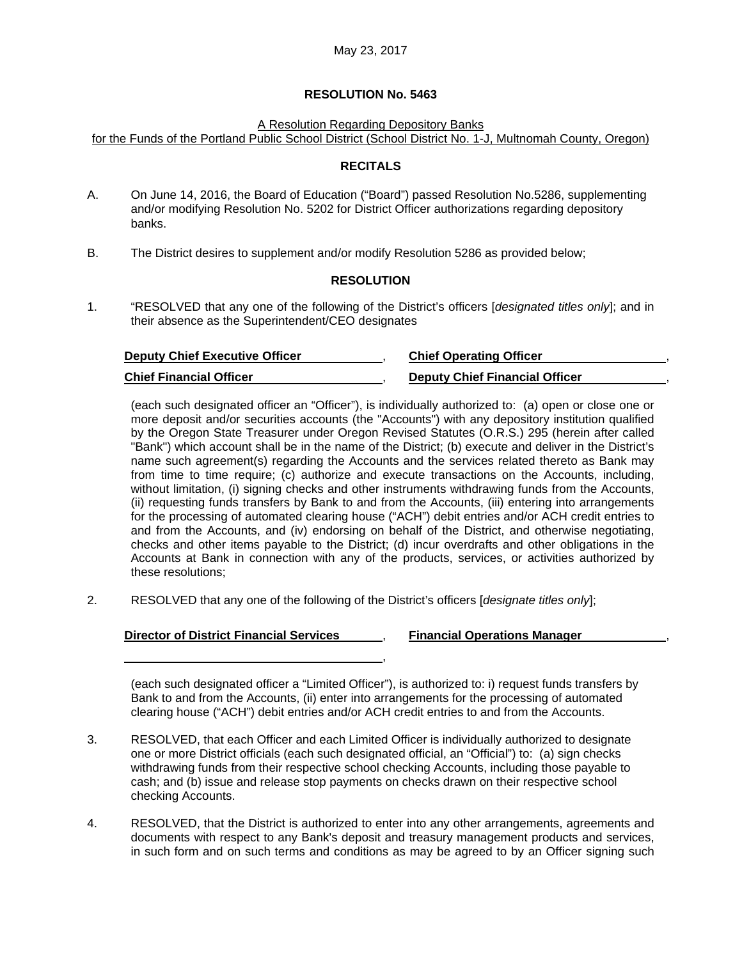A Resolution Regarding Depository Banks

for the Funds of the Portland Public School District (School District No. 1-J, Multnomah County, Oregon)

#### **RECITALS**

- A. On June 14, 2016, the Board of Education ("Board") passed Resolution No.5286, supplementing and/or modifying Resolution No. 5202 for District Officer authorizations regarding depository banks.
- B. The District desires to supplement and/or modify Resolution 5286 as provided below;

#### **RESOLUTION**

1. "RESOLVED that any one of the following of the District's officers [*designated titles only*]; and in their absence as the Superintendent/CEO designates

| <b>Deputy Chief Executive Officer</b> | <b>Chief Operating Officer</b>        |
|---------------------------------------|---------------------------------------|
| <b>Chief Financial Officer</b>        | <b>Deputy Chief Financial Officer</b> |

(each such designated officer an "Officer"), is individually authorized to: (a) open or close one or more deposit and/or securities accounts (the "Accounts") with any depository institution qualified by the Oregon State Treasurer under Oregon Revised Statutes (O.R.S.) 295 (herein after called "Bank") which account shall be in the name of the District; (b) execute and deliver in the District's name such agreement(s) regarding the Accounts and the services related thereto as Bank may from time to time require; (c) authorize and execute transactions on the Accounts, including, without limitation, (i) signing checks and other instruments withdrawing funds from the Accounts, (ii) requesting funds transfers by Bank to and from the Accounts, (iii) entering into arrangements for the processing of automated clearing house ("ACH") debit entries and/or ACH credit entries to and from the Accounts, and (iv) endorsing on behalf of the District, and otherwise negotiating, checks and other items payable to the District; (d) incur overdrafts and other obligations in the Accounts at Bank in connection with any of the products, services, or activities authorized by these resolutions;

2. RESOLVED that any one of the following of the District's officers [*designate titles only*];

#### **Director of District Financial Services** , **Financial Operations Manager** ,

(each such designated officer a "Limited Officer"), is authorized to: i) request funds transfers by Bank to and from the Accounts, (ii) enter into arrangements for the processing of automated clearing house ("ACH") debit entries and/or ACH credit entries to and from the Accounts.

,

- 3. RESOLVED, that each Officer and each Limited Officer is individually authorized to designate one or more District officials (each such designated official, an "Official") to: (a) sign checks withdrawing funds from their respective school checking Accounts, including those payable to cash; and (b) issue and release stop payments on checks drawn on their respective school checking Accounts.
- 4. RESOLVED, that the District is authorized to enter into any other arrangements, agreements and documents with respect to any Bank's deposit and treasury management products and services, in such form and on such terms and conditions as may be agreed to by an Officer signing such